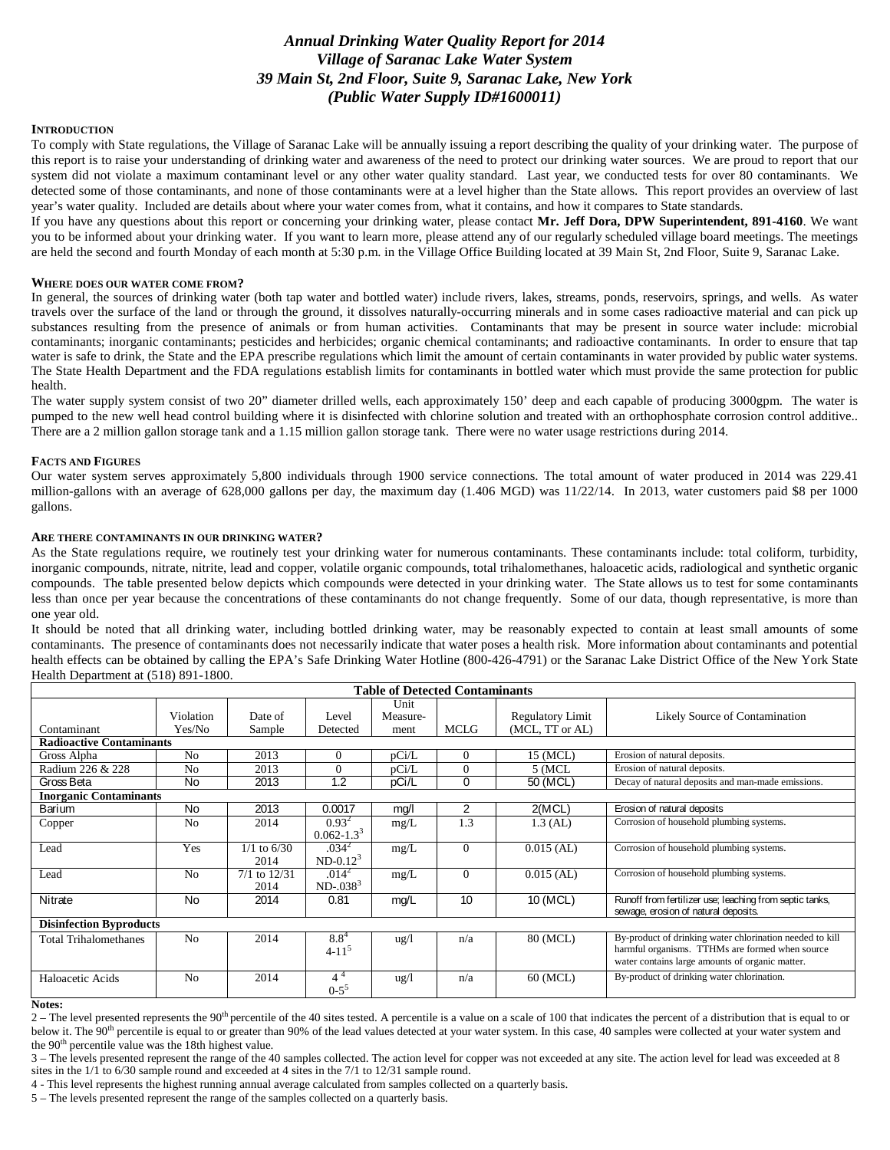# *Annual Drinking Water Quality Report for 2014 Village of Saranac Lake Water System 39 Main St, 2nd Floor, Suite 9, Saranac Lake, New York (Public Water Supply ID#1600011)*

#### **INTRODUCTION**

To comply with State regulations, the Village of Saranac Lake will be annually issuing a report describing the quality of your drinking water. The purpose of this report is to raise your understanding of drinking water and awareness of the need to protect our drinking water sources. We are proud to report that our system did not violate a maximum contaminant level or any other water quality standard. Last year, we conducted tests for over 80 contaminants. We detected some of those contaminants, and none of those contaminants were at a level higher than the State allows. This report provides an overview of last year's water quality. Included are details about where your water comes from, what it contains, and how it compares to State standards.

If you have any questions about this report or concerning your drinking water, please contact **Mr. Jeff Dora, DPW Superintendent, 891-4160**. We want you to be informed about your drinking water. If you want to learn more, please attend any of our regularly scheduled village board meetings. The meetings are held the second and fourth Monday of each month at 5:30 p.m. in the Village Office Building located at 39 Main St, 2nd Floor, Suite 9, Saranac Lake.

#### **WHERE DOES OUR WATER COME FROM?**

In general, the sources of drinking water (both tap water and bottled water) include rivers, lakes, streams, ponds, reservoirs, springs, and wells. As water travels over the surface of the land or through the ground, it dissolves naturally-occurring minerals and in some cases radioactive material and can pick up substances resulting from the presence of animals or from human activities. Contaminants that may be present in source water include: microbial contaminants; inorganic contaminants; pesticides and herbicides; organic chemical contaminants; and radioactive contaminants. In order to ensure that tap water is safe to drink, the State and the EPA prescribe regulations which limit the amount of certain contaminants in water provided by public water systems. The State Health Department and the FDA regulations establish limits for contaminants in bottled water which must provide the same protection for public health.

The water supply system consist of two 20" diameter drilled wells, each approximately 150' deep and each capable of producing 3000gpm. The water is pumped to the new well head control building where it is disinfected with chlorine solution and treated with an orthophosphate corrosion control additive.. There are a 2 million gallon storage tank and a 1.15 million gallon storage tank. There were no water usage restrictions during 2014.

#### **FACTS AND FIGURES**

Our water system serves approximately 5,800 individuals through 1900 service connections. The total amount of water produced in 2014 was 229.41 million-gallons with an average of 628,000 gallons per day, the maximum day (1.406 MGD) was 11/22/14. In 2013, water customers paid \$8 per 1000 gallons.

### **ARE THERE CONTAMINANTS IN OUR DRINKING WATER?**

As the State regulations require, we routinely test your drinking water for numerous contaminants. These contaminants include: total coliform, turbidity, inorganic compounds, nitrate, nitrite, lead and copper, volatile organic compounds, total trihalomethanes, haloacetic acids, radiological and synthetic organic compounds. The table presented below depicts which compounds were detected in your drinking water. The State allows us to test for some contaminants less than once per year because the concentrations of these contaminants do not change frequently. Some of our data, though representative, is more than one year old.

It should be noted that all drinking water, including bottled drinking water, may be reasonably expected to contain at least small amounts of some contaminants. The presence of contaminants does not necessarily indicate that water poses a health risk. More information about contaminants and potential health effects can be obtained by calling the EPA's Safe Drinking Water Hotline (800-426-4791) or the Saranac Lake District Office of the New York State Health Department at (518) 891-1800.

| <b>Table of Detected Contaminants</b> |                     |                          |                                  |                          |              |                                            |                                                                                                                                                                |
|---------------------------------------|---------------------|--------------------------|----------------------------------|--------------------------|--------------|--------------------------------------------|----------------------------------------------------------------------------------------------------------------------------------------------------------------|
| Contaminant                           | Violation<br>Yes/No | Date of<br>Sample        | Level<br>Detected                | Unit<br>Measure-<br>ment | <b>MCLG</b>  | <b>Regulatory Limit</b><br>(MCL, TT or AL) | Likely Source of Contamination                                                                                                                                 |
| <b>Radioactive Contaminants</b>       |                     |                          |                                  |                          |              |                                            |                                                                                                                                                                |
| Gross Alpha                           | N <sub>o</sub>      | 2013                     | 0                                | pCi/L                    | $\mathbf{0}$ | 15 (MCL)                                   | Erosion of natural deposits.                                                                                                                                   |
| Radium 226 & 228                      | N <sub>o</sub>      | 2013                     | $\Omega$                         | pCi/L                    | $\mathbf{0}$ | $5$ (MCL                                   | Erosion of natural deposits.                                                                                                                                   |
| Gross Beta                            | <b>No</b>           | 2013                     | 1.2                              | pCi/L                    | 0            | 50 (MCL)                                   | Decay of natural deposits and man-made emissions.                                                                                                              |
| <b>Inorganic Contaminants</b>         |                     |                          |                                  |                          |              |                                            |                                                                                                                                                                |
| Barium                                | <b>No</b>           | 2013                     | 0.0017                           | mq/l                     | 2            | 2(MCL)                                     | Erosion of natural deposits                                                                                                                                    |
| Copper                                | N <sub>0</sub>      | 2014                     | $0.93^{2}$<br>$0.062 - 1.33$     | mg/L                     | 1.3          | $1.3$ (AL)                                 | Corrosion of household plumbing systems.                                                                                                                       |
| Lead                                  | Yes                 | $1/1$ to $6/30$<br>2014  | .034 <sup>2</sup><br>$ND-0.12^3$ | mg/L                     | $\Omega$     | $0.015$ (AL)                               | Corrosion of household plumbing systems.                                                                                                                       |
| Lead                                  | N <sub>o</sub>      | $7/1$ to $12/31$<br>2014 | .014 <sup>2</sup><br>$ND-038^3$  | mg/L                     | $\Omega$     | $0.015$ (AL)                               | Corrosion of household plumbing systems.                                                                                                                       |
| Nitrate                               | <b>No</b>           | 2014                     | 0.81                             | mg/L                     | 10           | 10 (MCL)                                   | Runoff from fertilizer use; leaching from septic tanks,<br>sewage, erosion of natural deposits.                                                                |
| <b>Disinfection Byproducts</b>        |                     |                          |                                  |                          |              |                                            |                                                                                                                                                                |
| <b>Total Trihalomethanes</b>          | N <sub>0</sub>      | 2014                     | $8.8^{4}$<br>$4 - 11^{5}$        | ug/l                     | n/a          | 80 (MCL)                                   | By-product of drinking water chlorination needed to kill<br>harmful organisms. TTHMs are formed when source<br>water contains large amounts of organic matter. |
| Haloacetic Acids<br>$\mathbf{X}$      | N <sub>o</sub>      | 2014                     | $4^4$<br>$0-5^5$                 | $\frac{u g}{l}$          | n/a          | 60 (MCL)                                   | By-product of drinking water chlorination.                                                                                                                     |

#### **Notes:**

 $2 -$  The level presented represents the 90<sup>th</sup> percentile of the 40 sites tested. A percentile is a value on a scale of 100 that indicates the percent of a distribution that is equal to or below it. The 90<sup>th</sup> percentile is equal to or greater than 90% of the lead values detected at your water system. In this case, 40 samples were collected at your water system and the 90<sup>th</sup> percentile value was the 18th highest value.

3 – The levels presented represent the range of the 40 samples collected. The action level for copper was not exceeded at any site. The action level for lead was exceeded at 8 sites in the 1/1 to 6/30 sample round and exceeded at 4 sites in the 7/1 to 12/31 sample round.

4 - This level represents the highest running annual average calculated from samples collected on a quarterly basis.

5 – The levels presented represent the range of the samples collected on a quarterly basis.